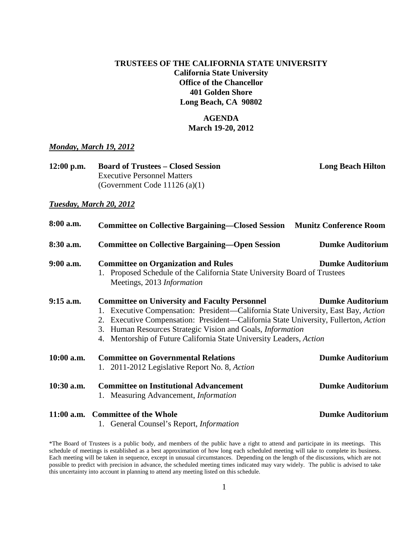### **TRUSTEES OF THE CALIFORNIA STATE UNIVERSITY California State University Office of the Chancellor 401 Golden Shore Long Beach, CA 90802**

### **AGENDA March 19-20, 2012**

#### *Monday, March 19, 2012*

| $12:00$ p.m. | <b>Board of Trustees – Closed Session</b> | <b>Long Beach Hilton</b> |
|--------------|-------------------------------------------|--------------------------|
|              | <b>Executive Personnel Matters</b>        |                          |
|              | (Government Code 11126 (a)(1)             |                          |

#### *Tuesday, March 20, 2012*

| 8:00 a.m.    | <b>Committee on Collective Bargaining—Closed Session Munitz Conference Room</b>                                                                                                                                                                                                                                                                                                                          |                         |
|--------------|----------------------------------------------------------------------------------------------------------------------------------------------------------------------------------------------------------------------------------------------------------------------------------------------------------------------------------------------------------------------------------------------------------|-------------------------|
| $8:30$ a.m.  | <b>Committee on Collective Bargaining—Open Session</b>                                                                                                                                                                                                                                                                                                                                                   | <b>Dumke Auditorium</b> |
| $9:00$ a.m.  | <b>Committee on Organization and Rules</b><br><b>Dumke Auditorium</b><br>1. Proposed Schedule of the California State University Board of Trustees<br>Meetings, 2013 Information                                                                                                                                                                                                                         |                         |
| $9:15$ a.m.  | <b>Committee on University and Faculty Personnel</b><br><b>Dumke Auditorium</b><br>1. Executive Compensation: President—California State University, East Bay, Action<br>2. Executive Compensation: President—California State University, Fullerton, Action<br>3. Human Resources Strategic Vision and Goals, <i>Information</i><br>4. Mentorship of Future California State University Leaders, Action |                         |
| 10:00 a.m.   | <b>Committee on Governmental Relations</b><br>1. 2011-2012 Legislative Report No. 8, Action                                                                                                                                                                                                                                                                                                              | <b>Dumke Auditorium</b> |
| $10:30$ a.m. | <b>Committee on Institutional Advancement</b><br>1. Measuring Advancement, <i>Information</i>                                                                                                                                                                                                                                                                                                            | <b>Dumke Auditorium</b> |
|              | 11:00 a.m. Committee of the Whole                                                                                                                                                                                                                                                                                                                                                                        | <b>Dumke Auditorium</b> |

1. General Counsel's Report, *Information*

\*The Board of Trustees is a public body, and members of the public have a right to attend and participate in its meetings. This schedule of meetings is established as a best approximation of how long each scheduled meeting will take to complete its business. Each meeting will be taken in sequence, except in unusual circumstances. Depending on the length of the discussions, which are not possible to predict with precision in advance, the scheduled meeting times indicated may vary widely. The public is advised to take this uncertainty into account in planning to attend any meeting listed on this schedule.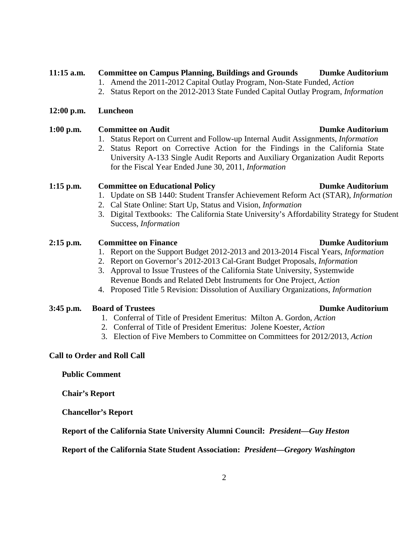#### 2

# **11:15 a.m. Committee on Campus Planning, Buildings and Grounds Dumke Auditorium**

- 1. Amend the 2011-2012 Capital Outlay Program, Non-State Funded, *Action*
- 2. Status Report on the 2012-2013 State Funded Capital Outlay Program, *Information*

### **12:00 p.m. Luncheon**

# **1:00 p.m. Committee on Audit Dumke Auditorium**

- 1. Status Report on Current and Follow-up Internal Audit Assignments, *Information*
- 2. Status Report on Corrective Action for the Findings in the California State University A-133 Single Audit Reports and Auxiliary Organization Audit Reports for the Fiscal Year Ended June 30, 2011, *Information*

# **1:15 p.m.** Committee on Educational Policy **Dumke Auditorium**

- 1. Update on SB 1440: Student Transfer Achievement Reform Act (STAR), *Information*
- 2. Cal State Online: Start Up, Status and Vision, *Information*
- 3. Digital Textbooks: The California State University's Affordability Strategy for Student Success, *Information*

# **2:15** p.m. Committee on Finance **Dumke Auditorium**

- 1. Report on the Support Budget 2012-2013 and 2013-2014 Fiscal Years, *Information*
- 2. Report on Governor's 2012-2013 Cal-Grant Budget Proposals, *Information*
- 3. Approval to Issue Trustees of the California State University, Systemwide Revenue Bonds and Related Debt Instruments for One Project, *Action*
- 4. Proposed Title 5 Revision: Dissolution of Auxiliary Organizations, *Information*

# **3:45 p.m. Board of Trustees Dumke Auditorium**

- 1. Conferral of Title of President Emeritus: Milton A. Gordon, *Action*
- 2. Conferral of Title of President Emeritus: Jolene Koester, *Action*
- 3. Election of Five Members to Committee on Committees for 2012/2013, *Action*

# **Call to Order and Roll Call**

**Public Comment**

**Chair's Report**

**Chancellor's Report**

**Report of the California State University Alumni Council:** *President—Guy Heston*

**Report of the California State Student Association:** *President—Gregory Washington*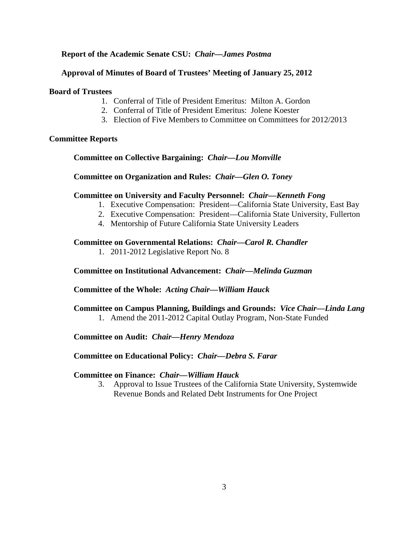### **Report of the Academic Senate CSU:** *Chair—James Postma*

### **Approval of Minutes of Board of Trustees' Meeting of January 25, 2012**

#### **Board of Trustees**

- 1. Conferral of Title of President Emeritus: Milton A. Gordon
- 2. Conferral of Title of President Emeritus: Jolene Koester
- 3. Election of Five Members to Committee on Committees for 2012/2013

#### **Committee Reports**

#### **Committee on Collective Bargaining:** *Chair—Lou Monville*

#### **Committee on Organization and Rules:** *Chair—Glen O. Toney*

#### **Committee on University and Faculty Personnel:** *Chair—Kenneth Fong*

- 1. Executive Compensation: President—California State University, East Bay
- 2. Executive Compensation: President—California State University, Fullerton
- 4. Mentorship of Future California State University Leaders

#### **Committee on Governmental Relations:** *Chair—Carol R. Chandler*

1. 2011-2012 Legislative Report No. 8

#### **Committee on Institutional Advancement:** *Chair—Melinda Guzman*

#### **Committee of the Whole:** *Acting Chair—William Hauck*

# **Committee on Campus Planning, Buildings and Grounds:** *Vice Chair—Linda Lang*

1. Amend the 2011-2012 Capital Outlay Program, Non-State Funded

#### **Committee on Audit:** *Chair—Henry Mendoza*

#### **Committee on Educational Policy:** *Chair—Debra S. Farar*

#### **Committee on Finance:** *Chair—William Hauck*

3. Approval to Issue Trustees of the California State University, Systemwide Revenue Bonds and Related Debt Instruments for One Project